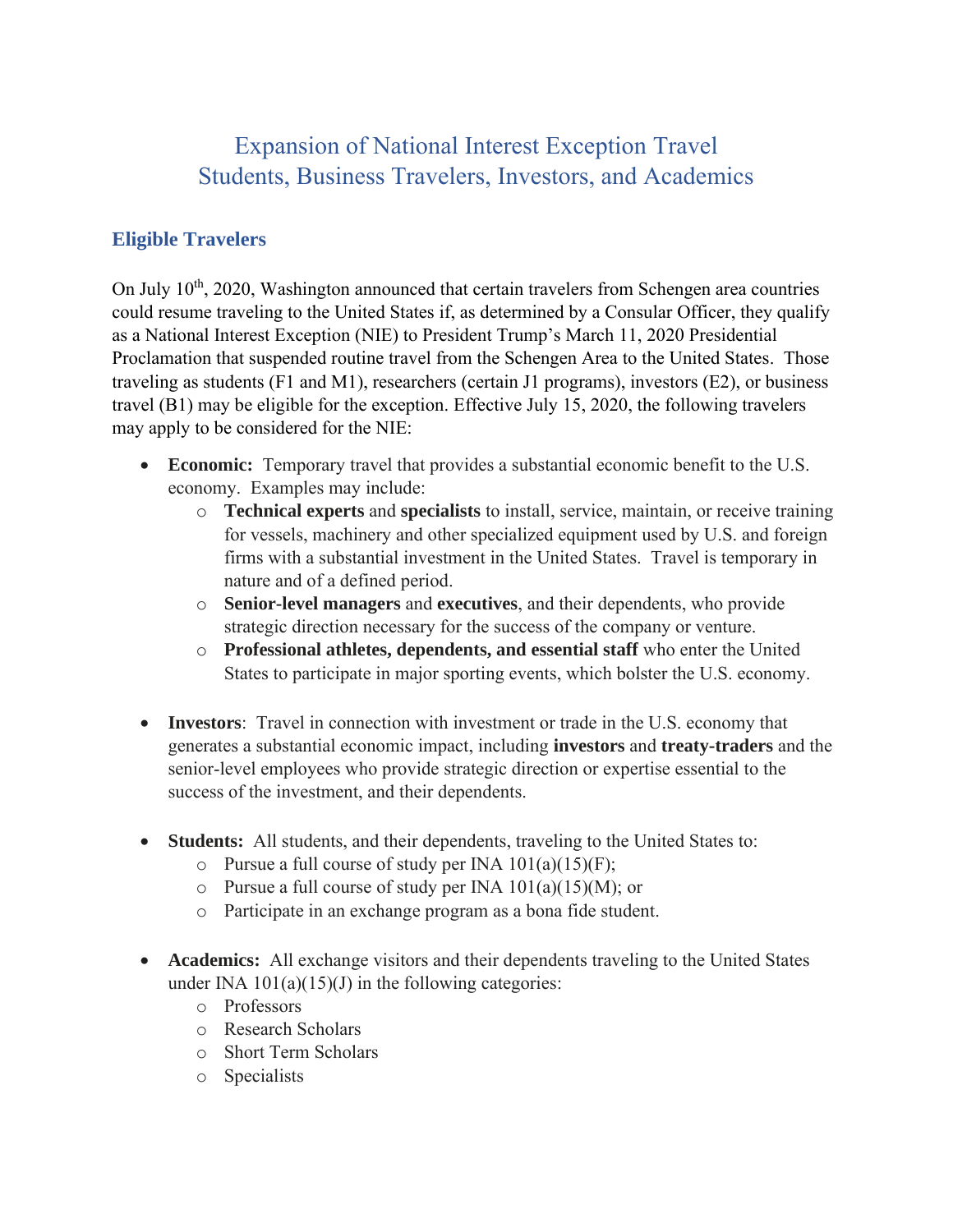# Expansion of National Interest Exception Travel Students, Business Travelers, Investors, and Academics

### **Eligible Travelers**

On July  $10<sup>th</sup>$ , 2020, Washington announced that certain travelers from Schengen area countries could resume traveling to the United States if, as determined by a Consular Officer, they qualify as a National Interest Exception (NIE) to President Trump's March 11, 2020 Presidential Proclamation that suspended routine travel from the Schengen Area to the United States. Those traveling as students (F1 and M1), researchers (certain J1 programs), investors (E2), or business travel (B1) may be eligible for the exception. Effective July 15, 2020, the following travelers may apply to be considered for the NIE:

- **Economic:** Temporary travel that provides a substantial economic benefit to the U.S. economy. Examples may include:
	- o **Technical experts** and **specialists** to install, service, maintain, or receive training for vessels, machinery and other specialized equipment used by U.S. and foreign firms with a substantial investment in the United States. Travel is temporary in nature and of a defined period.
	- o **Senior-level managers** and **executives**, and their dependents, who provide strategic direction necessary for the success of the company or venture.
	- o **Professional athletes, dependents, and essential staff** who enter the United States to participate in major sporting events, which bolster the U.S. economy.
- **Investors**: Travel in connection with investment or trade in the U.S. economy that generates a substantial economic impact, including **investors** and **treaty-traders** and the senior-level employees who provide strategic direction or expertise essential to the success of the investment, and their dependents.
- **Students:** All students, and their dependents, traveling to the United States to:
	- $\circ$  Pursue a full course of study per INA 101(a)(15)(F);
	- $\circ$  Pursue a full course of study per INA 101(a)(15)(M); or
	- o Participate in an exchange program as a bona fide student.
- **Academics:** All exchange visitors and their dependents traveling to the United States under INA  $101(a)(15)(J)$  in the following categories:
	- o Professors
	- o Research Scholars
	- o Short Term Scholars
	- o Specialists